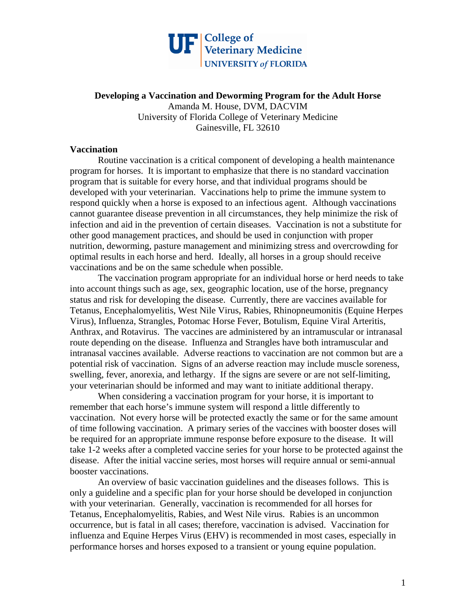

**Developing a Vaccination and Deworming Program for the Adult Horse** Amanda M. House, DVM, DACVIM University of Florida College of Veterinary Medicine Gainesville, FL 32610

## **Vaccination**

 Routine vaccination is a critical component of developing a health maintenance program for horses. It is important to emphasize that there is no standard vaccination program that is suitable for every horse, and that individual programs should be developed with your veterinarian. Vaccinations help to prime the immune system to respond quickly when a horse is exposed to an infectious agent. Although vaccinations cannot guarantee disease prevention in all circumstances, they help minimize the risk of infection and aid in the prevention of certain diseases. Vaccination is not a substitute for other good management practices, and should be used in conjunction with proper nutrition, deworming, pasture management and minimizing stress and overcrowding for optimal results in each horse and herd. Ideally, all horses in a group should receive vaccinations and be on the same schedule when possible.

 The vaccination program appropriate for an individual horse or herd needs to take into account things such as age, sex, geographic location, use of the horse, pregnancy status and risk for developing the disease. Currently, there are vaccines available for Tetanus, Encephalomyelitis, West Nile Virus, Rabies, Rhinopneumonitis (Equine Herpes Virus), Influenza, Strangles, Potomac Horse Fever, Botulism, Equine Viral Arteritis, Anthrax, and Rotavirus. The vaccines are administered by an intramuscular or intranasal route depending on the disease. Influenza and Strangles have both intramuscular and intranasal vaccines available. Adverse reactions to vaccination are not common but are a potential risk of vaccination. Signs of an adverse reaction may include muscle soreness, swelling, fever, anorexia, and lethargy. If the signs are severe or are not self-limiting, your veterinarian should be informed and may want to initiate additional therapy.

When considering a vaccination program for your horse, it is important to remember that each horse's immune system will respond a little differently to vaccination. Not every horse will be protected exactly the same or for the same amount of time following vaccination. A primary series of the vaccines with booster doses will be required for an appropriate immune response before exposure to the disease. It will take 1-2 weeks after a completed vaccine series for your horse to be protected against the disease. After the initial vaccine series, most horses will require annual or semi-annual booster vaccinations.

An overview of basic vaccination guidelines and the diseases follows. This is only a guideline and a specific plan for your horse should be developed in conjunction with your veterinarian. Generally, vaccination is recommended for all horses for Tetanus, Encephalomyelitis, Rabies, and West Nile virus. Rabies is an uncommon occurrence, but is fatal in all cases; therefore, vaccination is advised. Vaccination for influenza and Equine Herpes Virus (EHV) is recommended in most cases, especially in performance horses and horses exposed to a transient or young equine population.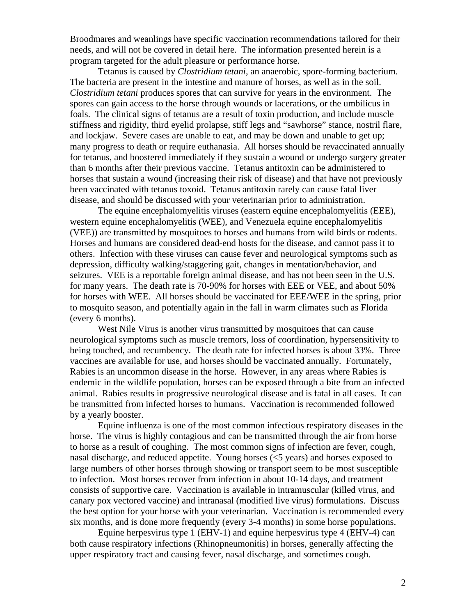Broodmares and weanlings have specific vaccination recommendations tailored for their needs, and will not be covered in detail here. The information presented herein is a program targeted for the adult pleasure or performance horse.

Tetanus is caused by *Clostridium tetani*, an anaerobic, spore-forming bacterium. The bacteria are present in the intestine and manure of horses, as well as in the soil. *Clostridium tetani* produces spores that can survive for years in the environment. The spores can gain access to the horse through wounds or lacerations, or the umbilicus in foals. The clinical signs of tetanus are a result of toxin production, and include muscle stiffness and rigidity, third eyelid prolapse, stiff legs and "sawhorse" stance, nostril flare, and lockjaw. Severe cases are unable to eat, and may be down and unable to get up; many progress to death or require euthanasia. All horses should be revaccinated annually for tetanus, and boostered immediately if they sustain a wound or undergo surgery greater than 6 months after their previous vaccine. Tetanus antitoxin can be administered to horses that sustain a wound (increasing their risk of disease) and that have not previously been vaccinated with tetanus toxoid. Tetanus antitoxin rarely can cause fatal liver disease, and should be discussed with your veterinarian prior to administration.

The equine encephalomyelitis viruses (eastern equine encephalomyelitis (EEE), western equine encephalomyelitis (WEE), and Venezuela equine encephalomyelitis (VEE)) are transmitted by mosquitoes to horses and humans from wild birds or rodents. Horses and humans are considered dead-end hosts for the disease, and cannot pass it to others. Infection with these viruses can cause fever and neurological symptoms such as depression, difficulty walking/staggering gait, changes in mentation/behavior, and seizures. VEE is a reportable foreign animal disease, and has not been seen in the U.S. for many years. The death rate is 70-90% for horses with EEE or VEE, and about 50% for horses with WEE. All horses should be vaccinated for EEE/WEE in the spring, prior to mosquito season, and potentially again in the fall in warm climates such as Florida (every 6 months).

West Nile Virus is another virus transmitted by mosquitoes that can cause neurological symptoms such as muscle tremors, loss of coordination, hypersensitivity to being touched, and recumbency. The death rate for infected horses is about 33%. Three vaccines are available for use, and horses should be vaccinated annually. Fortunately, Rabies is an uncommon disease in the horse. However, in any areas where Rabies is endemic in the wildlife population, horses can be exposed through a bite from an infected animal. Rabies results in progressive neurological disease and is fatal in all cases. It can be transmitted from infected horses to humans. Vaccination is recommended followed by a yearly booster.

Equine influenza is one of the most common infectious respiratory diseases in the horse. The virus is highly contagious and can be transmitted through the air from horse to horse as a result of coughing. The most common signs of infection are fever, cough, nasal discharge, and reduced appetite. Young horses (<5 years) and horses exposed to large numbers of other horses through showing or transport seem to be most susceptible to infection. Most horses recover from infection in about 10-14 days, and treatment consists of supportive care. Vaccination is available in intramuscular (killed virus, and canary pox vectored vaccine) and intranasal (modified live virus) formulations. Discuss the best option for your horse with your veterinarian. Vaccination is recommended every six months, and is done more frequently (every 3-4 months) in some horse populations.

Equine herpesvirus type 1 (EHV-1) and equine herpesvirus type 4 (EHV-4) can both cause respiratory infections (Rhinopneumonitis) in horses, generally affecting the upper respiratory tract and causing fever, nasal discharge, and sometimes cough.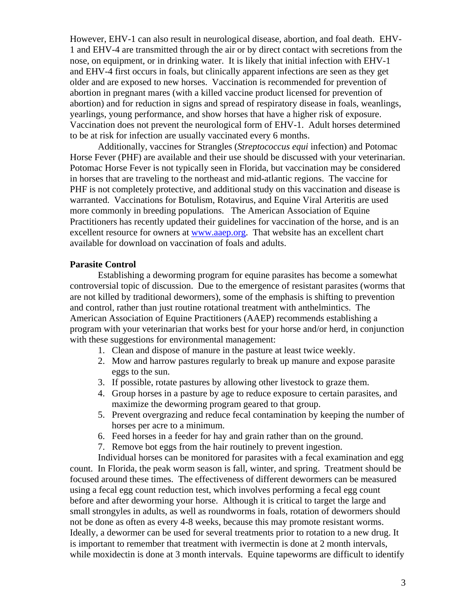However, EHV-1 can also result in neurological disease, abortion, and foal death. EHV-1 and EHV-4 are transmitted through the air or by direct contact with secretions from the nose, on equipment, or in drinking water. It is likely that initial infection with EHV-1 and EHV-4 first occurs in foals, but clinically apparent infections are seen as they get older and are exposed to new horses. Vaccination is recommended for prevention of abortion in pregnant mares (with a killed vaccine product licensed for prevention of abortion) and for reduction in signs and spread of respiratory disease in foals, weanlings, yearlings, young performance, and show horses that have a higher risk of exposure. Vaccination does not prevent the neurological form of EHV-1. Adult horses determined to be at risk for infection are usually vaccinated every 6 months.

Additionally, vaccines for Strangles (*Streptococcus equi* infection) and Potomac Horse Fever (PHF) are available and their use should be discussed with your veterinarian. Potomac Horse Fever is not typically seen in Florida, but vaccination may be considered in horses that are traveling to the northeast and mid-atlantic regions. The vaccine for PHF is not completely protective, and additional study on this vaccination and disease is warranted. Vaccinations for Botulism, Rotavirus, and Equine Viral Arteritis are used more commonly in breeding populations. The American Association of Equine Practitioners has recently updated their guidelines for vaccination of the horse, and is an excellent resource for owners at [www.aaep.org](http://www.aaep.org/). That website has an excellent chart available for download on vaccination of foals and adults.

## **Parasite Control**

Establishing a deworming program for equine parasites has become a somewhat controversial topic of discussion. Due to the emergence of resistant parasites (worms that are not killed by traditional dewormers), some of the emphasis is shifting to prevention and control, rather than just routine rotational treatment with anthelmintics. The American Association of Equine Practitioners (AAEP) recommends establishing a program with your veterinarian that works best for your horse and/or herd, in conjunction with these suggestions for environmental management:

- 1. Clean and dispose of manure in the pasture at least twice weekly.
- 2. Mow and harrow pastures regularly to break up manure and expose parasite eggs to the sun.
- 3. If possible, rotate pastures by allowing other livestock to graze them.
- 4. Group horses in a pasture by age to reduce exposure to certain parasites, and maximize the deworming program geared to that group.
- 5. Prevent overgrazing and reduce fecal contamination by keeping the number of horses per acre to a minimum.
- 6. Feed horses in a feeder for hay and grain rather than on the ground.
- 7. Remove bot eggs from the hair routinely to prevent ingestion.

Individual horses can be monitored for parasites with a fecal examination and egg count. In Florida, the peak worm season is fall, winter, and spring. Treatment should be focused around these times. The effectiveness of different dewormers can be measured using a fecal egg count reduction test, which involves performing a fecal egg count before and after deworming your horse. Although it is critical to target the large and small strongyles in adults, as well as roundworms in foals, rotation of dewormers should not be done as often as every 4-8 weeks, because this may promote resistant worms. Ideally, a dewormer can be used for several treatments prior to rotation to a new drug. It is important to remember that treatment with ivermectin is done at 2 month intervals, while moxidectin is done at 3 month intervals. Equine tapeworms are difficult to identify